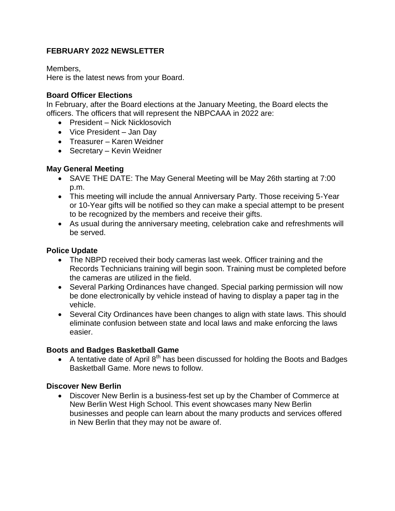# **FEBRUARY 2022 NEWSLETTER**

Members,

Here is the latest news from your Board.

### **Board Officer Elections**

In February, after the Board elections at the January Meeting, the Board elects the officers. The officers that will represent the NBPCAAA in 2022 are:

- President Nick Nicklosovich
- Vice President Jan Day
- Treasurer Karen Weidner
- Secretary Kevin Weidner

# **May General Meeting**

- SAVE THE DATE: The May General Meeting will be May 26th starting at 7:00 p.m.
- This meeting will include the annual Anniversary Party. Those receiving 5-Year or 10-Year gifts will be notified so they can make a special attempt to be present to be recognized by the members and receive their gifts.
- As usual during the anniversary meeting, celebration cake and refreshments will be served.

# **Police Update**

- The NBPD received their body cameras last week. Officer training and the Records Technicians training will begin soon. Training must be completed before the cameras are utilized in the field.
- Several Parking Ordinances have changed. Special parking permission will now be done electronically by vehicle instead of having to display a paper tag in the vehicle.
- Several City Ordinances have been changes to align with state laws. This should eliminate confusion between state and local laws and make enforcing the laws easier.

#### **Boots and Badges Basketball Game**

A tentative date of April  $8<sup>th</sup>$  has been discussed for holding the Boots and Badges Basketball Game. More news to follow.

# **Discover New Berlin**

 Discover New Berlin is a business-fest set up by the Chamber of Commerce at New Berlin West High School. This event showcases many New Berlin businesses and people can learn about the many products and services offered in New Berlin that they may not be aware of.